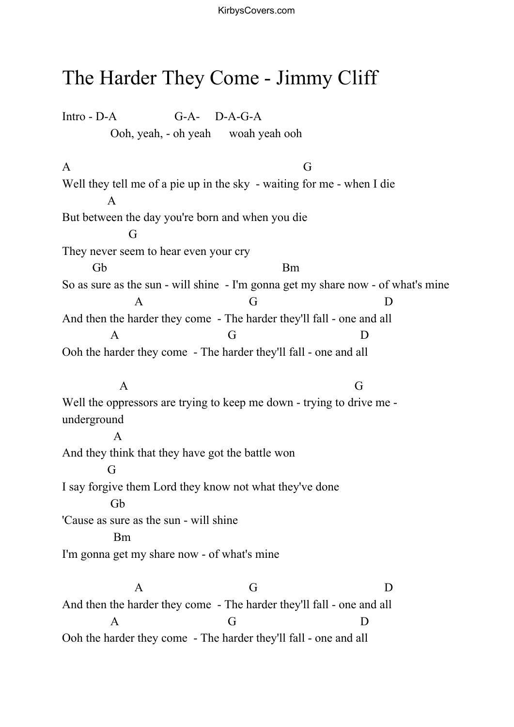## The Harder They Come - Jimmy Cliff

Intro - D-A G-A- D-A-G-A Ooh, yeah, - oh yeah woah yeah ooh

A G Well they tell me of a pie up in the sky - waiting for me - when I die A But between the day you're born and when you die G They never seem to hear even your cry Gb Bm So as sure as the sun - will shine - I'm gonna get my share now - of what's mine A G D And then the harder they come - The harder they'll fall - one and all A G D Ooh the harder they come - The harder they'll fall - one and all A G Well the oppressors are trying to keep me down - trying to drive me underground A And they think that they have got the battle won G I say forgive them Lord they know not what they've done Gb 'Cause as sure as the sun - will shine Bm I'm gonna get my share now - of what's mine A G D

And then the harder they come - The harder they'll fall - one and all A G D Ooh the harder they come - The harder they'll fall - one and all